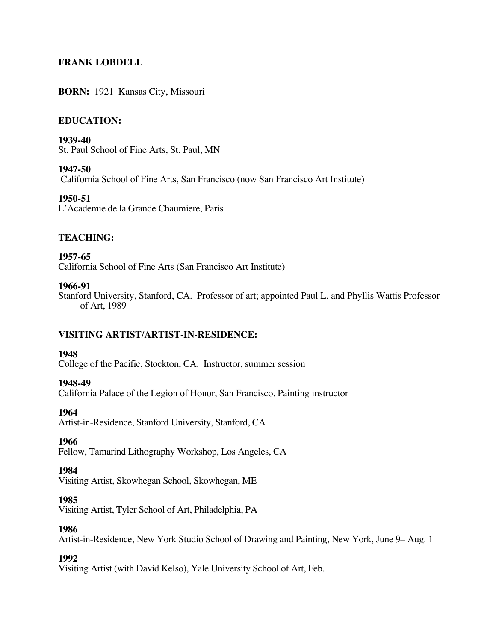# **FRANK LOBDELL**

### **BORN:** 1921 Kansas City, Missouri

### **EDUCATION:**

**1939-40** St. Paul School of Fine Arts, St. Paul, MN

**1947-50** California School of Fine Arts, San Francisco (now San Francisco Art Institute)

**1950-51** L'Academie de la Grande Chaumiere, Paris

### **TEACHING:**

**1957-65** California School of Fine Arts (San Francisco Art Institute)

#### **1966-91**

Stanford University, Stanford, CA. Professor of art; appointed Paul L. and Phyllis Wattis Professor of Art, 1989

### **VISITING ARTIST/ARTIST-IN-RESIDENCE:**

#### **1948**

College of the Pacific, Stockton, CA. Instructor, summer session

#### **1948-49**

California Palace of the Legion of Honor, San Francisco. Painting instructor

#### **1964**

Artist-in-Residence, Stanford University, Stanford, CA

#### **1966**

Fellow, Tamarind Lithography Workshop, Los Angeles, CA

#### **1984**

Visiting Artist, Skowhegan School, Skowhegan, ME

#### **1985**

Visiting Artist, Tyler School of Art, Philadelphia, PA

#### **1986**

Artist-in-Residence, New York Studio School of Drawing and Painting, New York, June 9– Aug. 1

#### **1992**

Visiting Artist (with David Kelso), Yale University School of Art, Feb.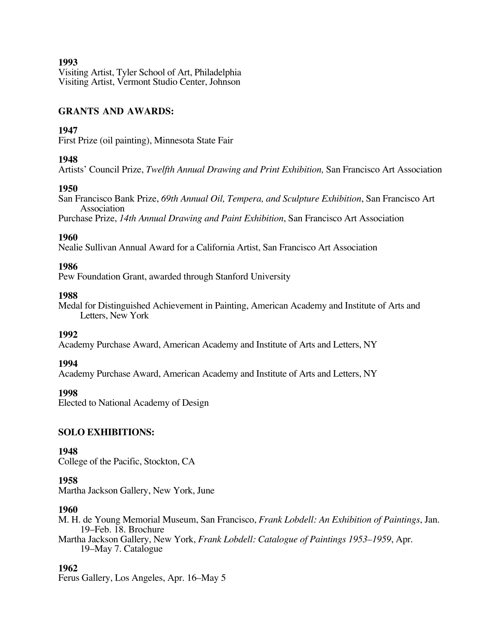Visiting Artist, Tyler School of Art, Philadelphia Visiting Artist, Vermont Studio Center, Johnson

## **GRANTS AND AWARDS:**

## **1947**

First Prize (oil painting), Minnesota State Fair

## **1948**

Artists' Council Prize, *Twelfth Annual Drawing and Print Exhibition,* San Francisco Art Association

## **1950**

San Francisco Bank Prize, *69th Annual Oil, Tempera, and Sculpture Exhibition*, San Francisco Art Association

Purchase Prize, *14th Annual Drawing and Paint Exhibition*, San Francisco Art Association

## **1960**

Nealie Sullivan Annual Award for a California Artist, San Francisco Art Association

## **1986**

Pew Foundation Grant, awarded through Stanford University

## **1988**

Medal for Distinguished Achievement in Painting, American Academy and Institute of Arts and Letters, New York

## **1992**

Academy Purchase Award, American Academy and Institute of Arts and Letters, NY

## **1994**

Academy Purchase Award, American Academy and Institute of Arts and Letters, NY

## **1998**

Elected to National Academy of Design

## **SOLO EXHIBITIONS:**

## **1948**

College of the Pacific, Stockton, CA

## **1958**

Martha Jackson Gallery, New York, June

## **1960**

M. H. de Young Memorial Museum, San Francisco, *Frank Lobdell: An Exhibition of Paintings*, Jan. 19–Feb. 18. Brochure

Martha Jackson Gallery, New York, *Frank Lobdell: Catalogue of Paintings 1953–1959*, Apr. 19–May 7. Catalogue

# **1962**

Ferus Gallery, Los Angeles, Apr. 16–May 5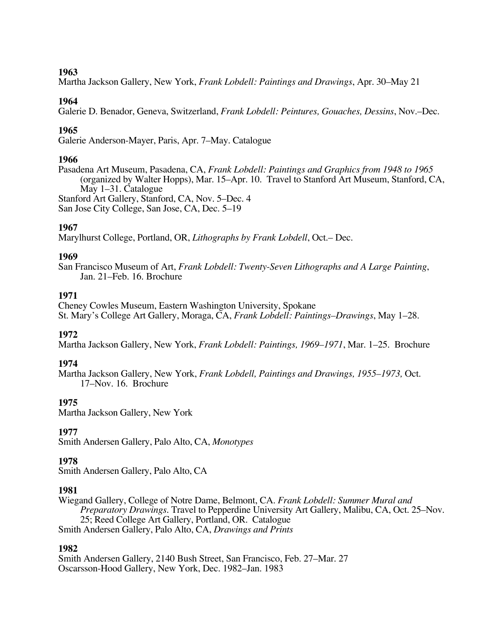Martha Jackson Gallery, New York, *Frank Lobdell: Paintings and Drawings*, Apr. 30–May 21

## **1964**

Galerie D. Benador, Geneva, Switzerland, *Frank Lobdell: Peintures, Gouaches, Dessins*, Nov.–Dec.

## **1965**

Galerie Anderson-Mayer, Paris, Apr. 7–May. Catalogue

## **1966**

Pasadena Art Museum, Pasadena, CA, *Frank Lobdell: Paintings and Graphics from 1948 to 1965* (organized by Walter Hopps), Mar. 15–Apr. 10. Travel to Stanford Art Museum, Stanford, CA, May 1–31. Catalogue Stanford Art Gallery, Stanford, CA, Nov. 5–Dec. 4 San Jose City College, San Jose, CA, Dec. 5–19

## **1967**

Marylhurst College, Portland, OR, *Lithographs by Frank Lobdell*, Oct.– Dec.

## **1969**

San Francisco Museum of Art, *Frank Lobdell: Twenty-Seven Lithographs and A Large Painting*, Jan. 21–Feb. 16. Brochure

## **1971**

Cheney Cowles Museum, Eastern Washington University, Spokane St. Mary's College Art Gallery, Moraga, CA, *Frank Lobdell: Paintings–Drawings*, May 1–28.

## **1972**

Martha Jackson Gallery, New York, *Frank Lobdell: Paintings, 1969–1971*, Mar. 1–25. Brochure

## **1974**

Martha Jackson Gallery, New York, *Frank Lobdell, Paintings and Drawings, 1955–1973,* Oct. 17–Nov. 16. Brochure

# **1975**

Martha Jackson Gallery, New York

## **1977**

Smith Andersen Gallery, Palo Alto, CA, *Monotypes*

## **1978**

Smith Andersen Gallery, Palo Alto, CA

## **1981**

Wiegand Gallery, College of Notre Dame, Belmont, CA. *Frank Lobdell: Summer Mural and Preparatory Drawings*. Travel to Pepperdine University Art Gallery, Malibu, CA, Oct. 25–Nov. 25; Reed College Art Gallery, Portland, OR. Catalogue Smith Andersen Gallery, Palo Alto, CA, *Drawings and Prints*

## **1982**

Smith Andersen Gallery, 2140 Bush Street, San Francisco, Feb. 27–Mar. 27 Oscarsson-Hood Gallery, New York, Dec. 1982–Jan. 1983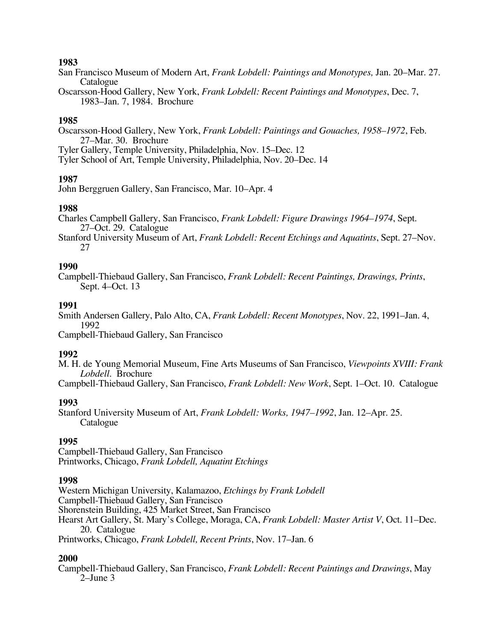- San Francisco Museum of Modern Art, *Frank Lobdell: Paintings and Monotypes,* Jan. 20–Mar. 27. Catalogue
- Oscarsson-Hood Gallery, New York, *Frank Lobdell: Recent Paintings and Monotypes*, Dec. 7, 1983–Jan. 7, 1984. Brochure

### **1985**

Oscarsson-Hood Gallery, New York, *Frank Lobdell: Paintings and Gouaches, 1958–1972*, Feb. 27–Mar. 30. Brochure Tyler Gallery, Temple University, Philadelphia, Nov. 15–Dec. 12 Tyler School of Art, Temple University, Philadelphia, Nov. 20–Dec. 14

### **1987**

John Berggruen Gallery, San Francisco, Mar. 10–Apr. 4

### **1988**

Charles Campbell Gallery, San Francisco, *Frank Lobdell: Figure Drawings 1964–1974*, Sept. 27–Oct. 29. Catalogue

Stanford University Museum of Art, *Frank Lobdell: Recent Etchings and Aquatints*, Sept. 27–Nov. 27

#### **1990**

Campbell-Thiebaud Gallery, San Francisco, *Frank Lobdell: Recent Paintings, Drawings, Prints*, Sept. 4–Oct. 13

#### **1991**

Smith Andersen Gallery, Palo Alto, CA, *Frank Lobdell: Recent Monotypes*, Nov. 22, 1991–Jan. 4, 1992

Campbell-Thiebaud Gallery, San Francisco

#### **1992**

M. H. de Young Memorial Museum, Fine Arts Museums of San Francisco, *Viewpoints XVIII: Frank Lobdell.* Brochure

Campbell-Thiebaud Gallery, San Francisco, *Frank Lobdell: New Work*, Sept. 1–Oct. 10. Catalogue

#### **1993**

Stanford University Museum of Art, *Frank Lobdell: Works, 1947–1992*, Jan. 12–Apr. 25. Catalogue

## **1995**

Campbell-Thiebaud Gallery, San Francisco Printworks, Chicago, *Frank Lobdell, Aquatint Etchings*

#### **1998**

Western Michigan University, Kalamazoo, *Etchings by Frank Lobdell* Campbell-Thiebaud Gallery, San Francisco Shorenstein Building, 425 Market Street, San Francisco Hearst Art Gallery, St. Mary's College, Moraga, CA, *Frank Lobdell: Master Artist V*, Oct. 11–Dec. 20. Catalogue Printworks, Chicago, *Frank Lobdell, Recent Prints*, Nov. 17–Jan. 6

#### **2000**

Campbell-Thiebaud Gallery, San Francisco, *Frank Lobdell: Recent Paintings and Drawings*, May 2–June 3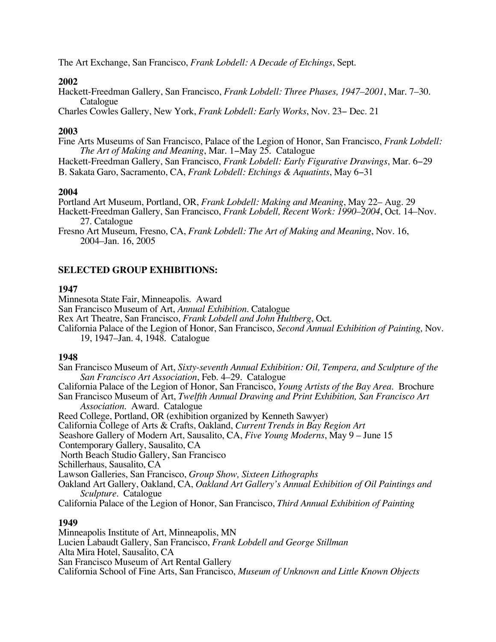The Art Exchange, San Francisco, *Frank Lobdell: A Decade of Etchings*, Sept.

### **2002**

Hackett-Freedman Gallery, San Francisco, *Frank Lobdell: Three Phases, 1947–2001*, Mar. 7–30. Catalogue

Charles Cowles Gallery, New York, *Frank Lobdell: Early Works*, Nov. 23− Dec. 21

#### **2003**

Fine Arts Museums of San Francisco, Palace of the Legion of Honor, San Francisco, *Frank Lobdell: The Art of Making and Meaning*, Mar. 1−May 25. Catalogue

Hackett-Freedman Gallery, San Francisco, *Frank Lobdell: Early Figurative Drawings*, Mar. 6−29 B. Sakata Garo, Sacramento, CA, *Frank Lobdell: Etchings & Aquatints*, May 6−31

#### **2004**

Portland Art Museum, Portland, OR, *Frank Lobdell: Making and Meaning*, May 22– Aug. 29 Hackett-Freedman Gallery, San Francisco, *Frank Lobdell, Recent Work: 1990–2004*, Oct. 14–Nov. 27. Catalogue

Fresno Art Museum, Fresno, CA, *Frank Lobdell: The Art of Making and Meaning*, Nov. 16, 2004–Jan. 16, 2005

## **SELECTED GROUP EXHIBITIONS:**

### **1947**

Minnesota State Fair, Minneapolis. Award San Francisco Museum of Art, *Annual Exhibition*. Catalogue Rex Art Theatre, San Francisco, *Frank Lobdell and John Hultberg*, Oct. California Palace of the Legion of Honor, San Francisco, *Second Annual Exhibition of Painting,* Nov. 19, 1947–Jan. 4, 1948. Catalogue

#### **1948**

San Francisco Museum of Art, *Sixty-seventh Annual Exhibition: Oil, Tempera, and Sculpture of the San Francisco Art Association*, Feb. 4–29. Catalogue California Palace of the Legion of Honor, San Francisco, *Young Artists of the Bay Area*. Brochure San Francisco Museum of Art, *Twelfth Annual Drawing and Print Exhibition, San Francisco Art Association*. Award. Catalogue Reed College, Portland, OR (exhibition organized by Kenneth Sawyer) California College of Arts & Crafts, Oakland, *Current Trends in Bay Region Art* Seashore Gallery of Modern Art, Sausalito, CA, *Five Young Moderns*, May 9 – June 15 Contemporary Gallery, Sausalito, CA North Beach Studio Gallery, San Francisco Schillerhaus, Sausalito, CA Lawson Galleries, San Francisco, *Group Show, Sixteen Lithographs* Oakland Art Gallery, Oakland, CA, *Oakland Art Gallery's Annual Exhibition of Oil Paintings and Sculpture*. Catalogue California Palace of the Legion of Honor, San Francisco, *Third Annual Exhibition of Painting*

#### **1949**

Minneapolis Institute of Art, Minneapolis, MN Lucien Labaudt Gallery, San Francisco, *Frank Lobdell and George Stillman* Alta Mira Hotel, Sausalito, CA San Francisco Museum of Art Rental Gallery California School of Fine Arts, San Francisco, *Museum of Unknown and Little Known Objects*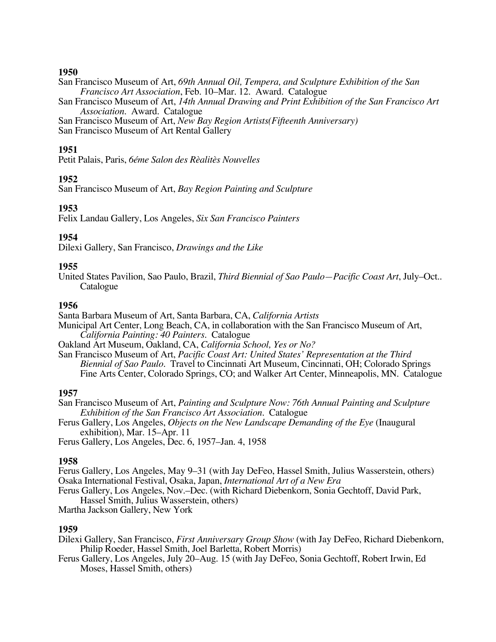San Francisco Museum of Art, *69th Annual Oil, Tempera, and Sculpture Exhibition of the San Francisco Art Association*, Feb. 10–Mar. 12. Award. Catalogue

San Francisco Museum of Art, *14th Annual Drawing and Print Exhibition of the San Francisco Art Association*. Award. Catalogue

San Francisco Museum of Art, *New Bay Region Artists(Fifteenth Anniversary)*

San Francisco Museum of Art Rental Gallery

## **1951**

Petit Palais, Paris, *6éme Salon des Rèalitès Nouvelles*

## **1952**

San Francisco Museum of Art, *Bay Region Painting and Sculpture*

## **1953**

Felix Landau Gallery, Los Angeles, *Six San Francisco Painters*

## **1954**

Dilexi Gallery, San Francisco, *Drawings and the Like*

## **1955**

United States Pavilion, Sao Paulo, Brazil, *Third Biennial of Sao Paulo—Pacific Coast Art*, July–Oct.. Catalogue

## **1956**

Santa Barbara Museum of Art, Santa Barbara, CA, *California Artists*

Municipal Art Center, Long Beach, CA, in collaboration with the San Francisco Museum of Art, *California Painting: 40 Painters*. Catalogue

Oakland Art Museum, Oakland, CA, *California School, Yes or No?*

San Francisco Museum of Art, *Pacific Coast Art: United States' Representation at the Third Biennial of Sao Paulo*. Travel to Cincinnati Art Museum, Cincinnati, OH; Colorado Springs Fine Arts Center, Colorado Springs, CO; and Walker Art Center, Minneapolis, MN. Catalogue

## **1957**

San Francisco Museum of Art, *Painting and Sculpture Now: 76th Annual Painting and Sculpture Exhibition of the San Francisco Art Association*. Catalogue

Ferus Gallery, Los Angeles, *Objects on the New Landscape Demanding of the Eye* (Inaugural exhibition), Mar. 15–Apr. 11

Ferus Gallery, Los Angeles, Dec. 6, 1957–Jan. 4, 1958

## **1958**

Ferus Gallery, Los Angeles, May 9–31 (with Jay DeFeo, Hassel Smith, Julius Wasserstein, others) Osaka International Festival, Osaka, Japan, *International Art of a New Era*

Ferus Gallery, Los Angeles, Nov.–Dec. (with Richard Diebenkorn, Sonia Gechtoff, David Park, Hassel Smith, Julius Wasserstein, others)

Martha Jackson Gallery, New York

## **1959**

Dilexi Gallery, San Francisco, *First Anniversary Group Show* (with Jay DeFeo, Richard Diebenkorn, Philip Roeder, Hassel Smith, Joel Barletta, Robert Morris)

Ferus Gallery, Los Angeles, July 20–Aug. 15 (with Jay DeFeo, Sonia Gechtoff, Robert Irwin, Ed Moses, Hassel Smith, others)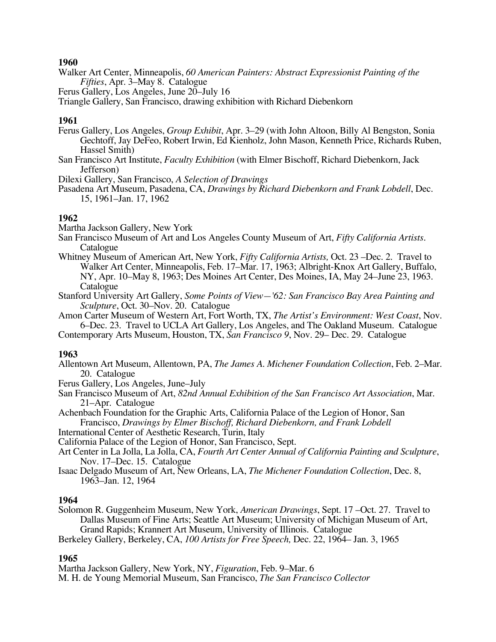- Walker Art Center, Minneapolis, *60 American Painters: Abstract Expressionist Painting of the Fifties*, Apr. 3–May 8. Catalogue
- Ferus Gallery, Los Angeles, June 20–July 16

Triangle Gallery, San Francisco, drawing exhibition with Richard Diebenkorn

## **1961**

- Ferus Gallery, Los Angeles, *Group Exhibit*, Apr. 3–29 (with John Altoon, Billy Al Bengston, Sonia Gechtoff, Jay DeFeo, Robert Irwin, Ed Kienholz, John Mason, Kenneth Price, Richards Ruben, Hassel Smith)
- San Francisco Art Institute, *Faculty Exhibition* (with Elmer Bischoff, Richard Diebenkorn, Jack Jefferson)
- Dilexi Gallery, San Francisco, *A Selection of Drawings*
- Pasadena Art Museum, Pasadena, CA, *Drawings by Richard Diebenkorn and Frank Lobdell*, Dec. 15, 1961–Jan. 17, 1962

### **1962**

Martha Jackson Gallery, New York

- San Francisco Museum of Art and Los Angeles County Museum of Art, *Fifty California Artists*. Catalogue
- Whitney Museum of American Art, New York, *Fifty California Artists,* Oct. 23 –Dec. 2. Travel to Walker Art Center, Minneapolis, Feb. 17–Mar. 17, 1963; Albright-Knox Art Gallery, Buffalo, NY, Apr. 10–May 8, 1963; Des Moines Art Center, Des Moines, IA, May 24–June 23, 1963. Catalogue
- Stanford University Art Gallery, *Some Points of View—'62: San Francisco Bay Area Painting and Sculpture*, Oct. 30–Nov. 20. Catalogue
- Amon Carter Museum of Western Art, Fort Worth, TX, *The Artist's Environment: West Coast*, Nov. 6–Dec. 23. Travel to UCLA Art Gallery, Los Angeles, and The Oakland Museum. Catalogue
- Contemporary Arts Museum, Houston, TX, *San Francisco 9*, Nov. 29– Dec. 29. Catalogue

#### **1963**

- Allentown Art Museum, Allentown, PA, *The James A. Michener Foundation Collection*, Feb. 2–Mar. 20. Catalogue
- Ferus Gallery, Los Angeles, June–July
- San Francisco Museum of Art, *82nd Annual Exhibition of the San Francisco Art Association*, Mar. 21–Apr. Catalogue
- Achenbach Foundation for the Graphic Arts, California Palace of the Legion of Honor, San Francisco, *Drawings by Elmer Bischoff, Richard Diebenkorn, and Frank Lobdell*
- International Center of Aesthetic Research, Turin, Italy
- California Palace of the Legion of Honor, San Francisco, Sept.
- Art Center in La Jolla, La Jolla, CA, *Fourth Art Center Annual of California Painting and Sculpture*, Nov. 17–Dec. 15. Catalogue
- Isaac Delgado Museum of Art, New Orleans, LA, *The Michener Foundation Collection*, Dec. 8, 1963–Jan. 12, 1964

#### **1964**

Solomon R. Guggenheim Museum, New York, *American Drawings*, Sept. 17 –Oct. 27. Travel to Dallas Museum of Fine Arts; Seattle Art Museum; University of Michigan Museum of Art, Grand Rapids; Krannert Art Museum, University of Illinois. Catalogue

```
Berkeley Gallery, Berkeley, CA, 100 Artists for Free Speech, Dec. 22, 1964– Jan. 3, 1965
```
# **1965**

Martha Jackson Gallery, New York, NY, *Figuration*, Feb. 9–Mar. 6 M. H. de Young Memorial Museum, San Francisco, *The San Francisco Collector*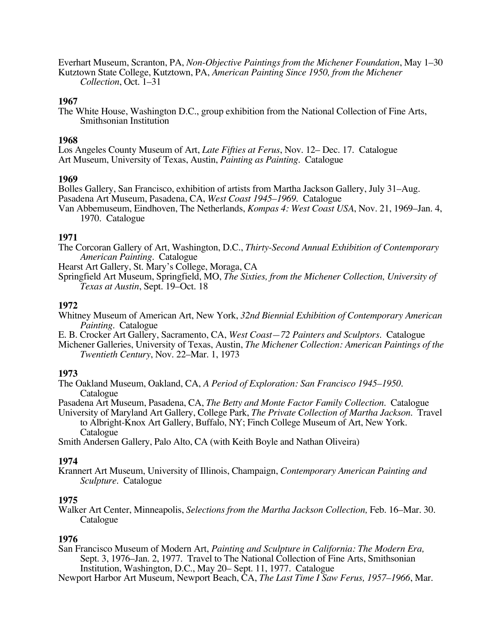Everhart Museum, Scranton, PA, *Non-Objective Paintings from the Michener Foundation*, May 1–30 Kutztown State College, Kutztown, PA, *American Painting Since 1950, from the Michener Collection*, Oct. 1–31

#### **1967**

The White House, Washington D.C., group exhibition from the National Collection of Fine Arts, Smithsonian Institution

#### **1968**

Los Angeles County Museum of Art, *Late Fifties at Ferus*, Nov. 12– Dec. 17*.* Catalogue Art Museum, University of Texas, Austin, *Painting as Painting*. Catalogue

#### **1969**

Bolles Gallery, San Francisco, exhibition of artists from Martha Jackson Gallery, July 31–Aug. Pasadena Art Museum, Pasadena, CA, *West Coast 1945–1969*. Catalogue

Van Abbemuseum, Eindhoven, The Netherlands, *Kompas 4: West Coast USA*, Nov. 21, 1969–Jan. 4, 1970. Catalogue

### **1971**

The Corcoran Gallery of Art, Washington, D.C., *Thirty-Second Annual Exhibition of Contemporary American Painting*. Catalogue

Hearst Art Gallery, St. Mary's College, Moraga, CA

Springfield Art Museum, Springfield, MO, *The Sixties, from the Michener Collection, University of Texas at Austin*, Sept. 19–Oct. 18

### **1972**

- Whitney Museum of American Art, New York, *32nd Biennial Exhibition of Contemporary American Painting*. Catalogue
- E. B. Crocker Art Gallery, Sacramento, CA, *West Coast—72 Painters and Sculptors*. Catalogue
- Michener Galleries, University of Texas, Austin, *The Michener Collection: American Paintings of the Twentieth Century*, Nov. 22–Mar. 1, 1973

#### **1973**

The Oakland Museum, Oakland, CA, *A Period of Exploration: San Francisco 1945–1950*. Catalogue

Pasadena Art Museum, Pasadena, CA, *The Betty and Monte Factor Family Collection*. Catalogue

University of Maryland Art Gallery, College Park, *The Private Collection of Martha Jackson*. Travel to Albright-Knox Art Gallery, Buffalo, NY; Finch College Museum of Art, New York. Catalogue

Smith Andersen Gallery, Palo Alto, CA (with Keith Boyle and Nathan Oliveira)

#### **1974**

Krannert Art Museum, University of Illinois, Champaign, *Contemporary American Painting and Sculpture*. Catalogue

#### **1975**

Walker Art Center, Minneapolis, *Selections from the Martha Jackson Collection,* Feb. 16–Mar. 30. Catalogue

#### **1976**

San Francisco Museum of Modern Art, *Painting and Sculpture in California: The Modern Era,* Sept. 3, 1976–Jan. 2, 1977. Travel to The National Collection of Fine Arts, Smithsonian Institution, Washington, D.C., May 20– Sept. 11, 1977. Catalogue

Newport Harbor Art Museum, Newport Beach, CA, *The Last Time I Saw Ferus, 1957–1966*, Mar.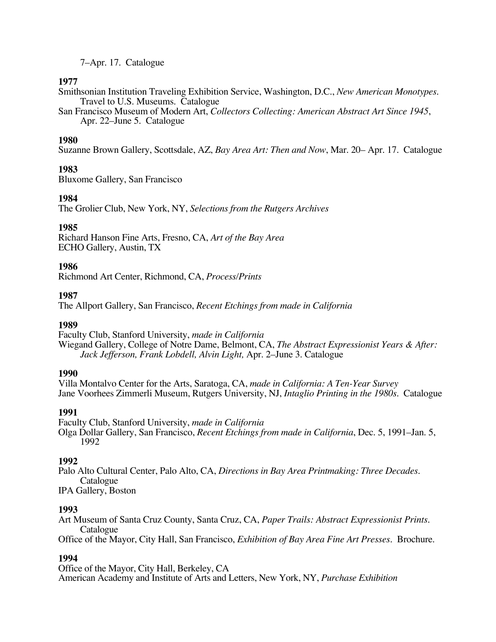7–Apr. 17. Catalogue

# **1977**

Smithsonian Institution Traveling Exhibition Service, Washington, D.C., *New American Monotypes*. Travel to U.S. Museums. Catalogue

San Francisco Museum of Modern Art, *Collectors Collecting: American Abstract Art Since 1945*, Apr. 22–June 5. Catalogue

# **1980**

Suzanne Brown Gallery, Scottsdale, AZ, *Bay Area Art: Then and Now*, Mar. 20– Apr. 17. Catalogue

# **1983**

Bluxome Gallery, San Francisco

# **1984**

The Grolier Club, New York, NY, *Selections from the Rutgers Archives*

# **1985**

Richard Hanson Fine Arts, Fresno, CA, *Art of the Bay Area* ECHO Gallery, Austin, TX

# **1986**

Richmond Art Center, Richmond, CA, *Process/Prints*

# **1987**

The Allport Gallery, San Francisco, *Recent Etchings from made in California*

# **1989**

Faculty Club, Stanford University, *made in California* Wiegand Gallery, College of Notre Dame, Belmont, CA, *The Abstract Expressionist Years & After: Jack Jefferson, Frank Lobdell, Alvin Light,* Apr. 2–June 3. Catalogue

# **1990**

Villa Montalvo Center for the Arts, Saratoga, CA, *made in California: A Ten-Year Survey* Jane Voorhees Zimmerli Museum, Rutgers University, NJ, *Intaglio Printing in the 1980s*. Catalogue

# **1991**

Faculty Club, Stanford University, *made in California* Olga Dollar Gallery, San Francisco, *Recent Etchings from made in California*, Dec. 5, 1991–Jan. 5, 1992

# **1992**

Palo Alto Cultural Center, Palo Alto, CA, *Directions in Bay Area Printmaking: Three Decades*. Catalogue

IPA Gallery, Boston

# **1993**

Art Museum of Santa Cruz County, Santa Cruz, CA, *Paper Trails: Abstract Expressionist Prints*. Catalogue

Office of the Mayor, City Hall, San Francisco, *Exhibition of Bay Area Fine Art Presses*. Brochure.

# **1994**

Office of the Mayor, City Hall, Berkeley, CA American Academy and Institute of Arts and Letters, New York, NY, *Purchase Exhibition*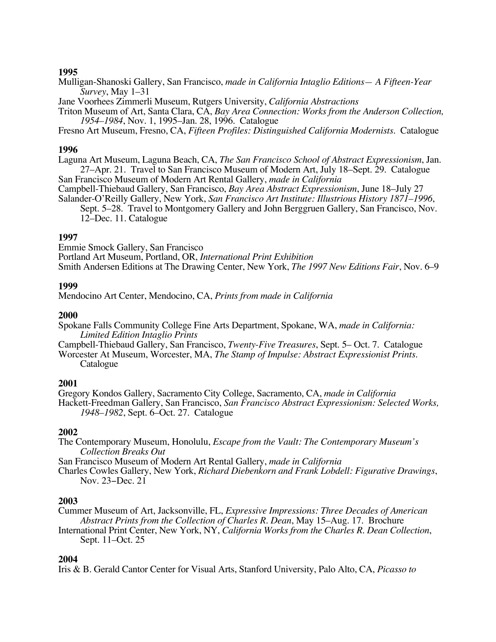Mulligan-Shanoski Gallery, San Francisco, *made in California Intaglio Editions— A Fifteen-Year Survey*, May 1–31

Jane Voorhees Zimmerli Museum, Rutgers University, *California Abstractions*

Triton Museum of Art, Santa Clara, CA, *Bay Area Connection: Works from the Anderson Collection, 1954–1984*, Nov. 1, 1995–Jan. 28, 1996. Catalogue

Fresno Art Museum, Fresno, CA, *Fifteen Profiles: Distinguished California Modernists.* Catalogue

#### **1996**

Laguna Art Museum, Laguna Beach, CA, *The San Francisco School of Abstract Expressionism*, Jan. 27–Apr. 21. Travel to San Francisco Museum of Modern Art, July 18–Sept. 29. Catalogue San Francisco Museum of Modern Art Rental Gallery, *made in California*

Campbell-Thiebaud Gallery, San Francisco, *Bay Area Abstract Expressionism*, June 18–July 27 Salander-O'Reilly Gallery, New York, *San Francisco Art Institute: Illustrious History 1871–1996*,

Sept. 5–28. Travel to Montgomery Gallery and John Berggruen Gallery, San Francisco, Nov. 12–Dec. 11. Catalogue

#### **1997**

Emmie Smock Gallery, San Francisco Portland Art Museum, Portland, OR, *International Print Exhibition* Smith Andersen Editions at The Drawing Center, New York, *The 1997 New Editions Fair*, Nov. 6–9

#### **1999**

Mendocino Art Center, Mendocino, CA, *Prints from made in California*

#### **2000**

Spokane Falls Community College Fine Arts Department, Spokane, WA, *made in California: Limited Edition Intaglio Prints*

Campbell-Thiebaud Gallery, San Francisco, *Twenty-Five Treasures*, Sept. 5– Oct. 7. Catalogue Worcester At Museum, Worcester, MA, *The Stamp of Impulse: Abstract Expressionist Prints*.

Catalogue

#### **2001**

Gregory Kondos Gallery, Sacramento City College, Sacramento, CA, *made in California* Hackett-Freedman Gallery, San Francisco, *San Francisco Abstract Expressionism: Selected Works, 1948–1982*, Sept. 6–Oct. 27. Catalogue

#### **2002**

The Contemporary Museum, Honolulu, *Escape from the Vault: The Contemporary Museum's Collection Breaks Out*

San Francisco Museum of Modern Art Rental Gallery, *made in California*

Charles Cowles Gallery, New York, *Richard Diebenkorn and Frank Lobdell: Figurative Drawings*, Nov. 23−Dec. 21

#### **2003**

Cummer Museum of Art, Jacksonville, FL, *Expressive Impressions: Three Decades of American Abstract Prints from the Collection of Charles R. Dean*, May 15–Aug. 17. Brochure

International Print Center, New York, NY, *California Works from the Charles R. Dean Collection*, Sept. 11–Oct. 25

#### **2004**

Iris & B. Gerald Cantor Center for Visual Arts, Stanford University, Palo Alto, CA, *Picasso to*